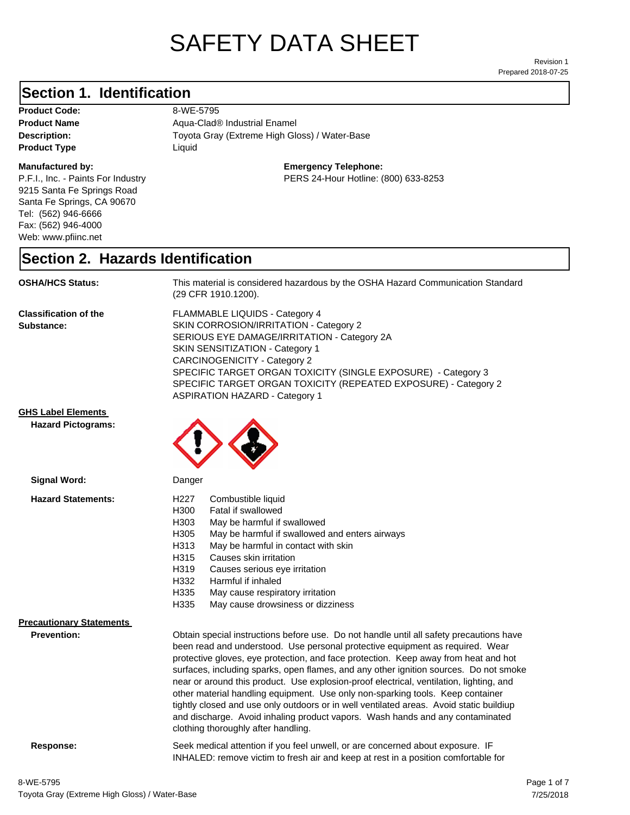# SAFETY DATA SHEET

Prepared 2018-07-25 Revision 1

#### **Section 1. Identification**

**Product Code:** 8-WE-5795 **Product Type Liquid Liquid** 

#### **Manufactured by:**

P.F.I., Inc. - Paints For Industry 9215 Santa Fe Springs Road Santa Fe Springs, CA 90670 Tel: (562) 946-6666 Fax: (562) 946-4000 Web: www.pfiinc.net

Description: Toyota Gray (Extreme High Gloss) / Water-Base **Product Name** Aqua-Clad<sup>®</sup> Industrial Enamel

**Emergency Telephone:**

PERS 24-Hour Hotline: (800) 633-8253

#### **Section 2. Hazards Identification**

**OSHA/HCS Status:** This material is considered hazardous by the OSHA Hazard Communication Standard (29 CFR 1910.1200).

**Classification of the Substance:**

FLAMMABLE LIQUIDS - Category 4 SKIN CORROSION/IRRITATION - Category 2 SERIOUS EYE DAMAGE/IRRITATION - Category 2A SKIN SENSITIZATION - Category 1 CARCINOGENICITY - Category 2 SPECIFIC TARGET ORGAN TOXICITY (SINGLE EXPOSURE) - Category 3 SPECIFIC TARGET ORGAN TOXICITY (REPEATED EXPOSURE) - Category 2 ASPIRATION HAZARD - Category 1

INHALED: remove victim to fresh air and keep at rest in a position comfortable for

**GHS Label Elements**

**Hazard Pictograms:**



| Signal Word:                                          | Danger                                                                                                                                                                                                                                                                                                                                                                                                                                                                                                                                                                                                                                                                                                                                                   |
|-------------------------------------------------------|----------------------------------------------------------------------------------------------------------------------------------------------------------------------------------------------------------------------------------------------------------------------------------------------------------------------------------------------------------------------------------------------------------------------------------------------------------------------------------------------------------------------------------------------------------------------------------------------------------------------------------------------------------------------------------------------------------------------------------------------------------|
| <b>Hazard Statements:</b>                             | H227<br>Combustible liquid<br>H300<br>Fatal if swallowed<br>H303<br>May be harmful if swallowed<br>H305<br>May be harmful if swallowed and enters airways<br>May be harmful in contact with skin<br>H313<br>H315<br>Causes skin irritation<br>H319<br>Causes serious eye irritation<br>H332<br>Harmful if inhaled<br>H335<br>May cause respiratory irritation<br>H335<br>May cause drowsiness or dizziness                                                                                                                                                                                                                                                                                                                                               |
| <b>Precautionary Statements</b><br><b>Prevention:</b> | Obtain special instructions before use. Do not handle until all safety precautions have<br>been read and understood. Use personal protective equipment as required. Wear<br>protective gloves, eye protection, and face protection. Keep away from heat and hot<br>surfaces, including sparks, open flames, and any other ignition sources. Do not smoke<br>near or around this product. Use explosion-proof electrical, ventilation, lighting, and<br>other material handling equipment. Use only non-sparking tools. Keep container<br>tightly closed and use only outdoors or in well ventilated areas. Avoid static buildiup<br>and discharge. Avoid inhaling product vapors. Wash hands and any contaminated<br>clothing thoroughly after handling. |
| Response:                                             | Seek medical attention if you feel unwell, or are concerned about exposure. IF                                                                                                                                                                                                                                                                                                                                                                                                                                                                                                                                                                                                                                                                           |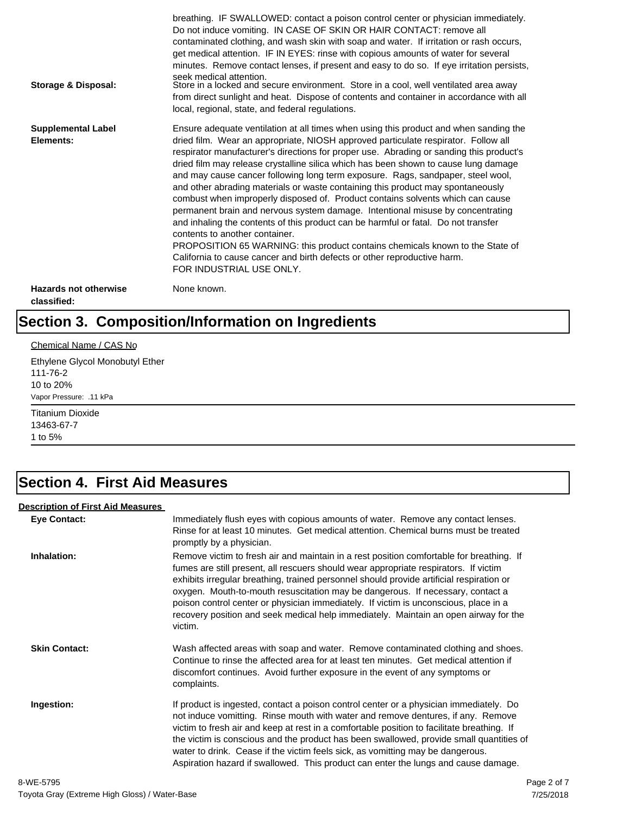| Storage & Disposal:                         | breathing. IF SWALLOWED: contact a poison control center or physician immediately.<br>Do not induce vomiting. IN CASE OF SKIN OR HAIR CONTACT: remove all<br>contaminated clothing, and wash skin with soap and water. If irritation or rash occurs,<br>get medical attention. IF IN EYES: rinse with copious amounts of water for several<br>minutes. Remove contact lenses, if present and easy to do so. If eye irritation persists,<br>seek medical attention.<br>Store in a locked and secure environment. Store in a cool, well ventilated area away<br>from direct sunlight and heat. Dispose of contents and container in accordance with all<br>local, regional, state, and federal regulations.                                                                                                                                                                                                                                                                                                                |
|---------------------------------------------|--------------------------------------------------------------------------------------------------------------------------------------------------------------------------------------------------------------------------------------------------------------------------------------------------------------------------------------------------------------------------------------------------------------------------------------------------------------------------------------------------------------------------------------------------------------------------------------------------------------------------------------------------------------------------------------------------------------------------------------------------------------------------------------------------------------------------------------------------------------------------------------------------------------------------------------------------------------------------------------------------------------------------|
| <b>Supplemental Label</b><br>Elements:      | Ensure adequate ventilation at all times when using this product and when sanding the<br>dried film. Wear an appropriate, NIOSH approved particulate respirator. Follow all<br>respirator manufacturer's directions for proper use. Abrading or sanding this product's<br>dried film may release crystalline silica which has been shown to cause lung damage<br>and may cause cancer following long term exposure. Rags, sandpaper, steel wool,<br>and other abrading materials or waste containing this product may spontaneously<br>combust when improperly disposed of. Product contains solvents which can cause<br>permanent brain and nervous system damage. Intentional misuse by concentrating<br>and inhaling the contents of this product can be harmful or fatal. Do not transfer<br>contents to another container.<br>PROPOSITION 65 WARNING: this product contains chemicals known to the State of<br>California to cause cancer and birth defects or other reproductive harm.<br>FOR INDUSTRIAL USE ONLY. |
| <b>Hazards not otherwise</b><br>classified: | None known.                                                                                                                                                                                                                                                                                                                                                                                                                                                                                                                                                                                                                                                                                                                                                                                                                                                                                                                                                                                                              |

# **Section 3. Composition/Information on Ingredients**

#### Chemical Name / CAS No

Ethylene Glycol Monobutyl Ether 111-76-2 10 to 20% Vapor Pressure: .11 kPa

Titanium Dioxide 13463-67-7 1 to 5%

### **Section 4. First Aid Measures**

#### **Description of First Aid Measures**

| <b>Eye Contact:</b>  | Immediately flush eyes with copious amounts of water. Remove any contact lenses.<br>Rinse for at least 10 minutes. Get medical attention. Chemical burns must be treated<br>promptly by a physician.                                                                                                                                                                                                                                                                                                                                                      |
|----------------------|-----------------------------------------------------------------------------------------------------------------------------------------------------------------------------------------------------------------------------------------------------------------------------------------------------------------------------------------------------------------------------------------------------------------------------------------------------------------------------------------------------------------------------------------------------------|
| Inhalation:          | Remove victim to fresh air and maintain in a rest position comfortable for breathing. If<br>fumes are still present, all rescuers should wear appropriate respirators. If victim<br>exhibits irregular breathing, trained personnel should provide artificial respiration or<br>oxygen. Mouth-to-mouth resuscitation may be dangerous. If necessary, contact a<br>poison control center or physician immediately. If victim is unconscious, place in a<br>recovery position and seek medical help immediately. Maintain an open airway for the<br>victim. |
| <b>Skin Contact:</b> | Wash affected areas with soap and water. Remove contaminated clothing and shoes.<br>Continue to rinse the affected area for at least ten minutes. Get medical attention if<br>discomfort continues. Avoid further exposure in the event of any symptoms or<br>complaints.                                                                                                                                                                                                                                                                                 |
| Ingestion:           | If product is ingested, contact a poison control center or a physician immediately. Do<br>not induce vomitting. Rinse mouth with water and remove dentures, if any. Remove<br>victim to fresh air and keep at rest in a comfortable position to facilitate breathing. If<br>the victim is conscious and the product has been swallowed, provide small quantities of<br>water to drink. Cease if the victim feels sick, as vomitting may be dangerous.<br>Aspiration hazard if swallowed. This product can enter the lungs and cause damage.               |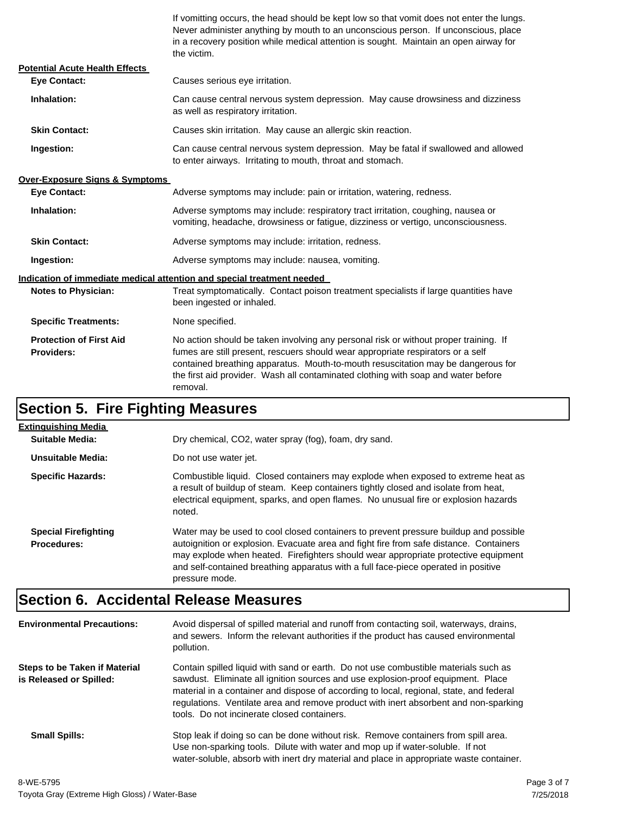If vomitting occurs, the head should be kept low so that vomit does not enter the lungs. Never administer anything by mouth to an unconscious person. If unconscious, place in a recovery position while medical attention is sought. Maintain an open airway for the victim.

| <b>Potential Acute Health Effects</b>               |                                                                                                                                                                                                                                                                                                                                                              |  |  |
|-----------------------------------------------------|--------------------------------------------------------------------------------------------------------------------------------------------------------------------------------------------------------------------------------------------------------------------------------------------------------------------------------------------------------------|--|--|
| <b>Eve Contact:</b>                                 | Causes serious eye irritation.                                                                                                                                                                                                                                                                                                                               |  |  |
| Inhalation:                                         | Can cause central nervous system depression. May cause drowsiness and dizziness<br>as well as respiratory irritation.                                                                                                                                                                                                                                        |  |  |
| <b>Skin Contact:</b>                                | Causes skin irritation. May cause an allergic skin reaction.                                                                                                                                                                                                                                                                                                 |  |  |
| Ingestion:                                          | Can cause central nervous system depression. May be fatal if swallowed and allowed<br>to enter airways. Irritating to mouth, throat and stomach.                                                                                                                                                                                                             |  |  |
| <b>Over-Exposure Signs &amp; Symptoms</b>           |                                                                                                                                                                                                                                                                                                                                                              |  |  |
| <b>Eve Contact:</b>                                 | Adverse symptoms may include: pain or irritation, watering, redness.                                                                                                                                                                                                                                                                                         |  |  |
| Inhalation:                                         | Adverse symptoms may include: respiratory tract irritation, coughing, nausea or<br>vomiting, headache, drowsiness or fatigue, dizziness or vertigo, unconsciousness.                                                                                                                                                                                         |  |  |
| <b>Skin Contact:</b>                                | Adverse symptoms may include: irritation, redness.                                                                                                                                                                                                                                                                                                           |  |  |
| Ingestion:                                          | Adverse symptoms may include: nausea, vomiting.                                                                                                                                                                                                                                                                                                              |  |  |
|                                                     | Indication of immediate medical attention and special treatment needed                                                                                                                                                                                                                                                                                       |  |  |
| <b>Notes to Physician:</b>                          | Treat symptomatically. Contact poison treatment specialists if large quantities have<br>been ingested or inhaled.                                                                                                                                                                                                                                            |  |  |
| <b>Specific Treatments:</b>                         | None specified.                                                                                                                                                                                                                                                                                                                                              |  |  |
| <b>Protection of First Aid</b><br><b>Providers:</b> | No action should be taken involving any personal risk or without proper training. If<br>fumes are still present, rescuers should wear appropriate respirators or a self<br>contained breathing apparatus. Mouth-to-mouth resuscitation may be dangerous for<br>the first aid provider. Wash all contaminated clothing with soap and water before<br>removal. |  |  |

### **Section 5. Fire Fighting Measures**

| <b>Extinguishing Media</b>                        |                                                                                                                                                                                                                                                                                                                                                                              |
|---------------------------------------------------|------------------------------------------------------------------------------------------------------------------------------------------------------------------------------------------------------------------------------------------------------------------------------------------------------------------------------------------------------------------------------|
| Suitable Media:                                   | Dry chemical, CO2, water spray (fog), foam, dry sand.                                                                                                                                                                                                                                                                                                                        |
| Unsuitable Media:                                 | Do not use water jet.                                                                                                                                                                                                                                                                                                                                                        |
| <b>Specific Hazards:</b>                          | Combustible liquid. Closed containers may explode when exposed to extreme heat as<br>a result of buildup of steam. Keep containers tightly closed and isolate from heat,<br>electrical equipment, sparks, and open flames. No unusual fire or explosion hazards<br>noted.                                                                                                    |
| <b>Special Firefighting</b><br><b>Procedures:</b> | Water may be used to cool closed containers to prevent pressure buildup and possible<br>autoignition or explosion. Evacuate area and fight fire from safe distance. Containers<br>may explode when heated. Firefighters should wear appropriate protective equipment<br>and self-contained breathing apparatus with a full face-piece operated in positive<br>pressure mode. |

### **Section 6. Accidental Release Measures**

| <b>Environmental Precautions:</b>                               | Avoid dispersal of spilled material and runoff from contacting soil, waterways, drains,<br>and sewers. Inform the relevant authorities if the product has caused environmental<br>pollution.                                                                                                                                                                                                              |
|-----------------------------------------------------------------|-----------------------------------------------------------------------------------------------------------------------------------------------------------------------------------------------------------------------------------------------------------------------------------------------------------------------------------------------------------------------------------------------------------|
| <b>Steps to be Taken if Material</b><br>is Released or Spilled: | Contain spilled liquid with sand or earth. Do not use combustible materials such as<br>sawdust. Eliminate all ignition sources and use explosion-proof equipment. Place<br>material in a container and dispose of according to local, regional, state, and federal<br>regulations. Ventilate area and remove product with inert absorbent and non-sparking<br>tools. Do not incinerate closed containers. |
| <b>Small Spills:</b>                                            | Stop leak if doing so can be done without risk. Remove containers from spill area.<br>Use non-sparking tools. Dilute with water and mop up if water-soluble. If not<br>water-soluble, absorb with inert dry material and place in appropriate waste container.                                                                                                                                            |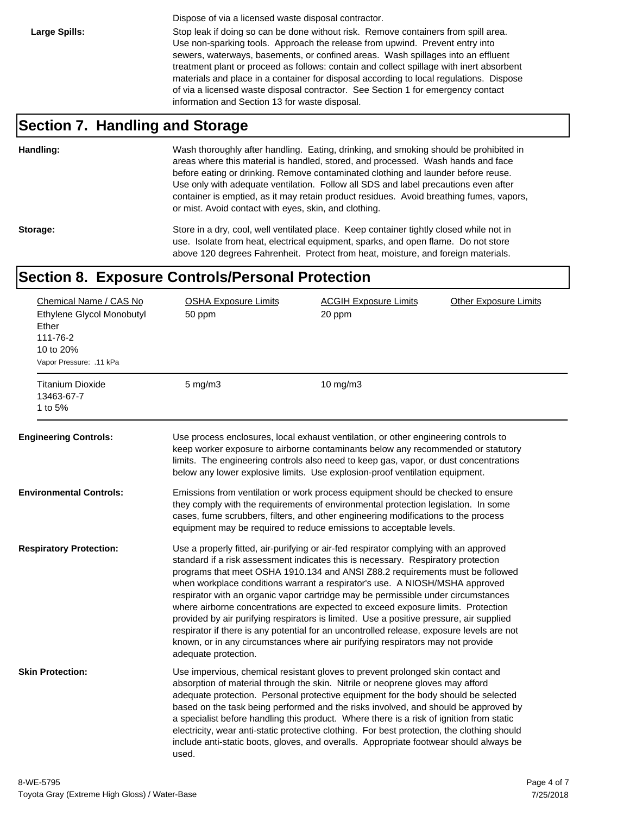Dispose of via a licensed waste disposal contractor.

Large Spills: Stop leak if doing so can be done without risk. Remove containers from spill area. Use non-sparking tools. Approach the release from upwind. Prevent entry into sewers, waterways, basements, or confined areas. Wash spillages into an effluent treatment plant or proceed as follows: contain and collect spillage with inert absorbent materials and place in a container for disposal according to local regulations. Dispose of via a licensed waste disposal contractor. See Section 1 for emergency contact information and Section 13 for waste disposal.

#### **Section 7. Handling and Storage**

**Handling:** Wash thoroughly after handling. Eating, drinking, and smoking should be prohibited in areas where this material is handled, stored, and processed. Wash hands and face before eating or drinking. Remove contaminated clothing and launder before reuse. Use only with adequate ventilation. Follow all SDS and label precautions even after container is emptied, as it may retain product residues. Avoid breathing fumes, vapors, or mist. Avoid contact with eyes, skin, and clothing.

Storage: Store in a dry, cool, well ventilated place. Keep container tightly closed while not in use. Isolate from heat, electrical equipment, sparks, and open flame. Do not store above 120 degrees Fahrenheit. Protect from heat, moisture, and foreign materials.

#### **Section 8. Exposure Controls/Personal Protection**

| Chemical Name / CAS No<br>Ethylene Glycol Monobutyl<br>Ether<br>111-76-2<br>10 to 20%<br>Vapor Pressure: .11 kPa | <b>OSHA Exposure Limits</b><br>50 ppm                                                                                                                                                                                                                                                                                               | <b>ACGIH Exposure Limits</b><br>20 ppm                                                                                                                                                                                                                                                                                                                                                                                                                                                                                                                                                                                                                                                                                                                                                        | <b>Other Exposure Limits</b> |
|------------------------------------------------------------------------------------------------------------------|-------------------------------------------------------------------------------------------------------------------------------------------------------------------------------------------------------------------------------------------------------------------------------------------------------------------------------------|-----------------------------------------------------------------------------------------------------------------------------------------------------------------------------------------------------------------------------------------------------------------------------------------------------------------------------------------------------------------------------------------------------------------------------------------------------------------------------------------------------------------------------------------------------------------------------------------------------------------------------------------------------------------------------------------------------------------------------------------------------------------------------------------------|------------------------------|
| <b>Titanium Dioxide</b><br>13463-67-7<br>1 to 5%                                                                 | $5 \text{ mg/m}$                                                                                                                                                                                                                                                                                                                    | 10 $mg/m3$                                                                                                                                                                                                                                                                                                                                                                                                                                                                                                                                                                                                                                                                                                                                                                                    |                              |
| <b>Engineering Controls:</b>                                                                                     |                                                                                                                                                                                                                                                                                                                                     | Use process enclosures, local exhaust ventilation, or other engineering controls to<br>keep worker exposure to airborne contaminants below any recommended or statutory<br>limits. The engineering controls also need to keep gas, vapor, or dust concentrations<br>below any lower explosive limits. Use explosion-proof ventilation equipment.                                                                                                                                                                                                                                                                                                                                                                                                                                              |                              |
| <b>Environmental Controls:</b>                                                                                   | Emissions from ventilation or work process equipment should be checked to ensure<br>they comply with the requirements of environmental protection legislation. In some<br>cases, fume scrubbers, filters, and other engineering modifications to the process<br>equipment may be required to reduce emissions to acceptable levels. |                                                                                                                                                                                                                                                                                                                                                                                                                                                                                                                                                                                                                                                                                                                                                                                               |                              |
| <b>Respiratory Protection:</b>                                                                                   | adequate protection.                                                                                                                                                                                                                                                                                                                | Use a properly fitted, air-purifying or air-fed respirator complying with an approved<br>standard if a risk assessment indicates this is necessary. Respiratory protection<br>programs that meet OSHA 1910.134 and ANSI Z88.2 requirements must be followed<br>when workplace conditions warrant a respirator's use. A NIOSH/MSHA approved<br>respirator with an organic vapor cartridge may be permissible under circumstances<br>where airborne concentrations are expected to exceed exposure limits. Protection<br>provided by air purifying respirators is limited. Use a positive pressure, air supplied<br>respirator if there is any potential for an uncontrolled release, exposure levels are not<br>known, or in any circumstances where air purifying respirators may not provide |                              |
| <b>Skin Protection:</b>                                                                                          | used.                                                                                                                                                                                                                                                                                                                               | Use impervious, chemical resistant gloves to prevent prolonged skin contact and<br>absorption of material through the skin. Nitrile or neoprene gloves may afford<br>adequate protection. Personal protective equipment for the body should be selected<br>based on the task being performed and the risks involved, and should be approved by<br>a specialist before handling this product. Where there is a risk of ignition from static<br>electricity, wear anti-static protective clothing. For best protection, the clothing should<br>include anti-static boots, gloves, and overalls. Appropriate footwear should always be                                                                                                                                                           |                              |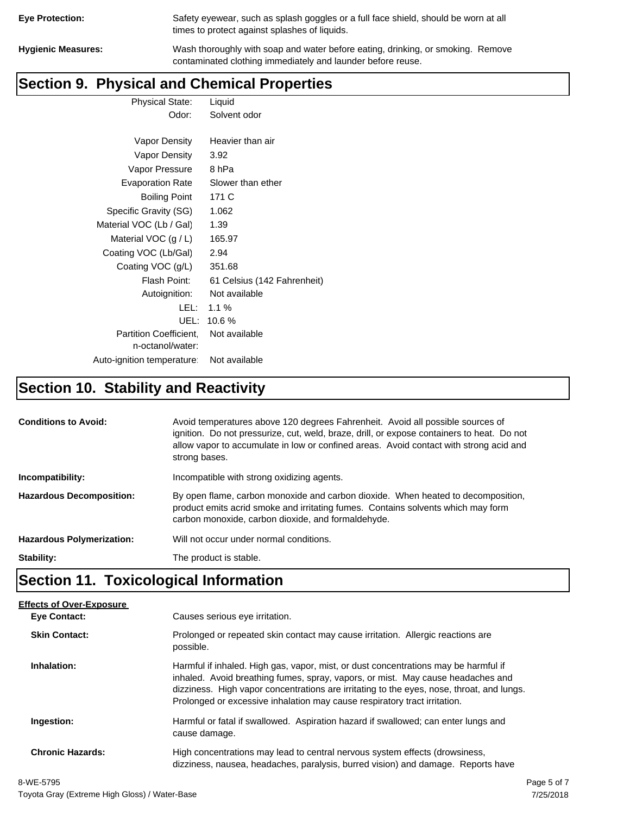| <b>Eye Protection:</b> |  |
|------------------------|--|
|                        |  |

Safety eyewear, such as splash goggles or a full face shield, should be worn at all times to protect against splashes of liquids.

**Hygienic Measures:** Wash thoroughly with soap and water before eating, drinking, or smoking. Remove contaminated clothing immediately and launder before reuse.

# **Section 9. Physical and Chemical Properties**

Physical State: Liquid Odor: Solvent odor

| Vapor Density                                     | Heavier than air            |
|---------------------------------------------------|-----------------------------|
| Vapor Density                                     | 3.92                        |
| Vapor Pressure                                    | 8 hPa                       |
| <b>Evaporation Rate</b>                           | Slower than ether           |
| Boiling Point                                     | 171 C                       |
| Specific Gravity (SG)                             | 1.062                       |
| Material VOC (Lb / Gal)                           | 1.39                        |
| Material VOC $(g/L)$                              | 165.97                      |
| Coating VOC (Lb/Gal)                              | 2.94                        |
| Coating VOC (g/L)                                 | 351.68                      |
| Flash Point:                                      | 61 Celsius (142 Fahrenheit) |
| Autoignition:                                     | Not available               |
| LEL: I                                            | 1.1%                        |
| UEL:                                              | 10.6%                       |
| <b>Partition Coefficient.</b><br>n-octanol/water: | Not available               |
| Auto-ignition temperature:                        | Not available               |

# **Section 10. Stability and Reactivity**

| <b>Conditions to Avoid:</b>      | Avoid temperatures above 120 degrees Fahrenheit. Avoid all possible sources of<br>ignition. Do not pressurize, cut, weld, braze, drill, or expose containers to heat. Do not<br>allow vapor to accumulate in low or confined areas. Avoid contact with strong acid and<br>strong bases. |
|----------------------------------|-----------------------------------------------------------------------------------------------------------------------------------------------------------------------------------------------------------------------------------------------------------------------------------------|
| Incompatibility:                 | Incompatible with strong oxidizing agents.                                                                                                                                                                                                                                              |
| <b>Hazardous Decomposition:</b>  | By open flame, carbon monoxide and carbon dioxide. When heated to decomposition,<br>product emits acrid smoke and irritating fumes. Contains solvents which may form<br>carbon monoxide, carbon dioxide, and formaldehyde.                                                              |
| <b>Hazardous Polymerization:</b> | Will not occur under normal conditions.                                                                                                                                                                                                                                                 |
| Stability:                       | The product is stable.                                                                                                                                                                                                                                                                  |

# **Section 11. Toxicological Information**

| <b>Effects of Over-Exposure</b> |                                                                                                                                                                                                                                                                                                                                                  |
|---------------------------------|--------------------------------------------------------------------------------------------------------------------------------------------------------------------------------------------------------------------------------------------------------------------------------------------------------------------------------------------------|
| <b>Eve Contact:</b>             | Causes serious eye irritation.                                                                                                                                                                                                                                                                                                                   |
| <b>Skin Contact:</b>            | Prolonged or repeated skin contact may cause irritation. Allergic reactions are<br>possible.                                                                                                                                                                                                                                                     |
| Inhalation:                     | Harmful if inhaled. High gas, vapor, mist, or dust concentrations may be harmful if<br>inhaled. Avoid breathing fumes, spray, vapors, or mist. May cause headaches and<br>dizziness. High vapor concentrations are irritating to the eyes, nose, throat, and lungs.<br>Prolonged or excessive inhalation may cause respiratory tract irritation. |
| Ingestion:                      | Harmful or fatal if swallowed. Aspiration hazard if swallowed; can enter lungs and<br>cause damage.                                                                                                                                                                                                                                              |
| <b>Chronic Hazards:</b>         | High concentrations may lead to central nervous system effects (drowsiness,<br>dizziness, nausea, headaches, paralysis, burred vision) and damage. Reports have                                                                                                                                                                                  |
| . <i>.</i>                      |                                                                                                                                                                                                                                                                                                                                                  |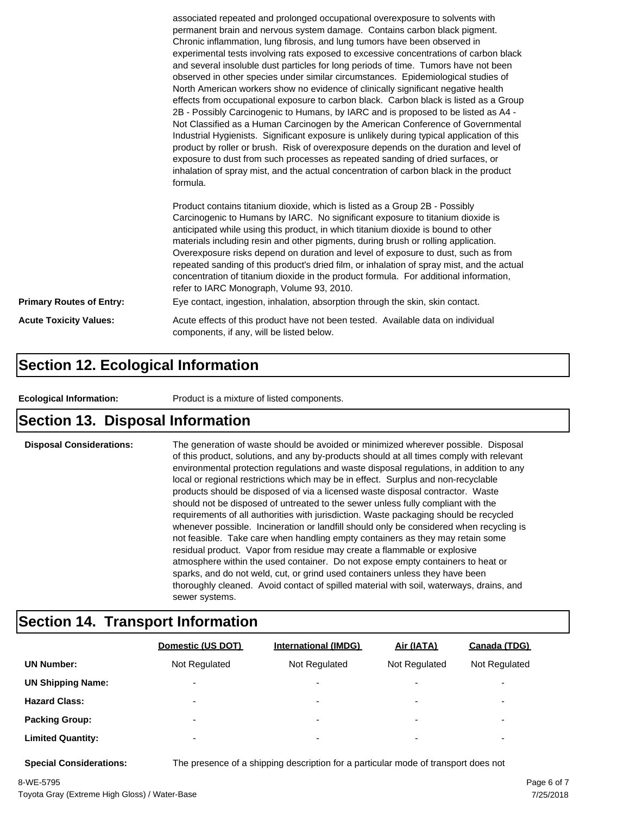|                                 | associated repeated and prolonged occupational overexposure to solvents with<br>permanent brain and nervous system damage. Contains carbon black pigment.<br>Chronic inflammation, lung fibrosis, and lung tumors have been observed in<br>experimental tests involving rats exposed to excessive concentrations of carbon black<br>and several insoluble dust particles for long periods of time. Tumors have not been<br>observed in other species under similar circumstances. Epidemiological studies of<br>North American workers show no evidence of clinically significant negative health<br>effects from occupational exposure to carbon black. Carbon black is listed as a Group<br>2B - Possibly Carcinogenic to Humans, by IARC and is proposed to be listed as A4 -<br>Not Classified as a Human Carcinogen by the American Conference of Governmental<br>Industrial Hygienists. Significant exposure is unlikely during typical application of this<br>product by roller or brush. Risk of overexposure depends on the duration and level of<br>exposure to dust from such processes as repeated sanding of dried surfaces, or<br>inhalation of spray mist, and the actual concentration of carbon black in the product<br>formula.<br>Product contains titanium dioxide, which is listed as a Group 2B - Possibly<br>Carcinogenic to Humans by IARC. No significant exposure to titanium dioxide is<br>anticipated while using this product, in which titanium dioxide is bound to other<br>materials including resin and other pigments, during brush or rolling application.<br>Overexposure risks depend on duration and level of exposure to dust, such as from |  |
|---------------------------------|------------------------------------------------------------------------------------------------------------------------------------------------------------------------------------------------------------------------------------------------------------------------------------------------------------------------------------------------------------------------------------------------------------------------------------------------------------------------------------------------------------------------------------------------------------------------------------------------------------------------------------------------------------------------------------------------------------------------------------------------------------------------------------------------------------------------------------------------------------------------------------------------------------------------------------------------------------------------------------------------------------------------------------------------------------------------------------------------------------------------------------------------------------------------------------------------------------------------------------------------------------------------------------------------------------------------------------------------------------------------------------------------------------------------------------------------------------------------------------------------------------------------------------------------------------------------------------------------------------------------------------------------------------------------------------|--|
|                                 | repeated sanding of this product's dried film, or inhalation of spray mist, and the actual<br>concentration of titanium dioxide in the product formula. For additional information,<br>refer to IARC Monograph, Volume 93, 2010.                                                                                                                                                                                                                                                                                                                                                                                                                                                                                                                                                                                                                                                                                                                                                                                                                                                                                                                                                                                                                                                                                                                                                                                                                                                                                                                                                                                                                                                   |  |
| <b>Primary Routes of Entry:</b> | Eye contact, ingestion, inhalation, absorption through the skin, skin contact.                                                                                                                                                                                                                                                                                                                                                                                                                                                                                                                                                                                                                                                                                                                                                                                                                                                                                                                                                                                                                                                                                                                                                                                                                                                                                                                                                                                                                                                                                                                                                                                                     |  |
| <b>Acute Toxicity Values:</b>   | Acute effects of this product have not been tested. Available data on individual<br>components, if any, will be listed below.                                                                                                                                                                                                                                                                                                                                                                                                                                                                                                                                                                                                                                                                                                                                                                                                                                                                                                                                                                                                                                                                                                                                                                                                                                                                                                                                                                                                                                                                                                                                                      |  |

#### **Section 12. Ecological Information**

**Ecological Information:** Product is a mixture of listed components.

#### **Section 13. Disposal Information**

**Disposal Considerations:** The generation of waste should be avoided or minimized wherever possible. Disposal of this product, solutions, and any by-products should at all times comply with relevant environmental protection regulations and waste disposal regulations, in addition to any local or regional restrictions which may be in effect. Surplus and non-recyclable products should be disposed of via a licensed waste disposal contractor. Waste should not be disposed of untreated to the sewer unless fully compliant with the requirements of all authorities with jurisdiction. Waste packaging should be recycled whenever possible. Incineration or landfill should only be considered when recycling is not feasible. Take care when handling empty containers as they may retain some residual product. Vapor from residue may create a flammable or explosive atmosphere within the used container. Do not expose empty containers to heat or sparks, and do not weld, cut, or grind used containers unless they have been thoroughly cleaned. Avoid contact of spilled material with soil, waterways, drains, and sewer systems.

#### **Section 14. Transport Information**

|                          | Domestic (US DOT)        | <b>International (IMDG)</b> | Air (IATA)               | Canada (TDG)             |
|--------------------------|--------------------------|-----------------------------|--------------------------|--------------------------|
| <b>UN Number:</b>        | Not Regulated            | Not Regulated               | Not Regulated            | Not Regulated            |
| <b>UN Shipping Name:</b> | $\overline{\phantom{0}}$ | $\overline{\phantom{0}}$    | $\overline{\phantom{0}}$ | ٠                        |
| <b>Hazard Class:</b>     | $\overline{\phantom{0}}$ | $\overline{\phantom{a}}$    | $\overline{\phantom{0}}$ | $\overline{\phantom{a}}$ |
| <b>Packing Group:</b>    | $\overline{\phantom{0}}$ | ۰                           | $\overline{\phantom{0}}$ | ٠                        |
| <b>Limited Quantity:</b> | $\overline{\phantom{0}}$ | ۰                           | $\overline{\phantom{0}}$ | ۰                        |

**Special Considerations:** The presence of a shipping description for a particular mode of transport does not